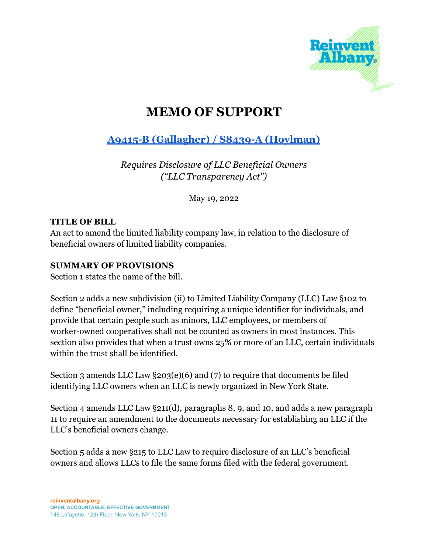

# **MEMO OF SUPPORT**

## **A9415-B [\(Gallagher\)](https://nyassembly.gov/leg/?default_fld=&leg_video=&bn=A09415&term=&Summary=Y&Memo=Y&Text=Y) / S8439-A (Hoylman)**

*Requires Disclosure of LLC Beneficial Owners ("LLC Transparency Act")*

May 19, 2022

#### **TITLE OF BILL**

An act to amend the limited liability company law, in relation to the disclosure of beneficial owners of limited liability companies.

#### **SUMMARY OF PROVISIONS**

Section 1 states the name of the bill.

Section 2 adds a new subdivision (ii) to Limited Liability Company (LLC) Law §102 to define "beneficial owner," including requiring a unique identifier for individuals, and provide that certain people such as minors, LLC employees, or members of worker-owned cooperatives shall not be counted as owners in most instances. This section also provides that when a trust owns 25% or more of an LLC, certain individuals within the trust shall be identified.

Section 3 amends LLC Law §203(e)(6) and (7) to require that documents be filed identifying LLC owners when an LLC is newly organized in New York State.

Section 4 amends LLC Law §211(d), paragraphs 8, 9, and 10, and adds a new paragraph 11 to require an amendment to the documents necessary for establishing an LLC if the LLC's beneficial owners change.

Section 5 adds a new §215 to LLC Law to require disclosure of an LLC's beneficial owners and allows LLCs to file the same forms filed with the federal government.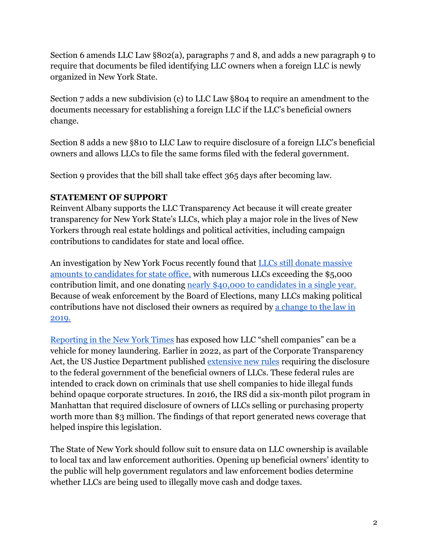Section 6 amends LLC Law §802(a), paragraphs 7 and 8, and adds a new paragraph 9 to require that documents be filed identifying LLC owners when a foreign LLC is newly organized in New York State.

Section 7 adds a new subdivision (c) to LLC Law §804 to require an amendment to the documents necessary for establishing a foreign LLC if the LLC's beneficial owners change.

Section 8 adds a new §810 to LLC Law to require disclosure of a foreign LLC's beneficial owners and allows LLCs to file the same forms filed with the federal government.

Section 9 provides that the bill shall take effect 365 days after becoming law.

### **STATEMENT OF SUPPORT**

Reinvent Albany supports the LLC Transparency Act because it will create greater transparency for New York State's LLCs, which play a major role in the lives of New Yorkers through real estate holdings and political activities, including campaign contributions to candidates for state and local office.

An investigation by New York Focus recently found that [LLCs still donate massive](https://www.nysfocus.com/2022/05/11/corporate-donors-identify-themselves-state-board-of-elections/) [amounts to candidates for state office,](https://www.nysfocus.com/2022/05/11/corporate-donors-identify-themselves-state-board-of-elections/) with numerous LLCs exceeding the \$5,000 contribution limit, and one donating nearly \$40,000 [to candidates in a single year.](https://www.nysfocus.com/2022/03/02/llc-corporate-donation-limits-kathy-hochul-jo-anne-simon-brian-kavanagh/) Because of weak enforcement by the Board of Elections, many LLCs making political contributions have not disclosed their owners as required by [a change to the law in](https://www.wiley.law/newsletter-Change-in-New-York-Campaign-Finance-Laws-Closing-the-LLC-Loophole-and-Aggressive-Campaign-Finance-Pay-to-Play-Proposals) [2019.](https://www.wiley.law/newsletter-Change-in-New-York-Campaign-Finance-Laws-Closing-the-LLC-Loophole-and-Aggressive-Campaign-Finance-Pay-to-Play-Proposals)

[Reporting in the New York Times](https://www.nytimes.com/2015/02/08/nyregion/stream-of-foreign-wealth-flows-to-time-warner-condos.html) has exposed how LLC "shell companies" can be a vehicle for money laundering. Earlier in 2022, as part of the Corporate Transparency Act, the US Justice Department published extensive [new rules](https://www.federalregister.gov/documents/2021/12/08/2021-26548/beneficial-ownership-information-reporting-requirements) requiring the disclosure to the federal government of the beneficial owners of LLCs. These federal rules are intended to crack down on criminals that use shell companies to hide illegal funds behind opaque corporate structures. In 2016, the IRS did a six-month pilot program in Manhattan that required disclosure of owners of LLCs selling or purchasing property worth more than \$3 million. The findings of that report generated news coverage that helped inspire this legislation.

The State of New York should follow suit to ensure data on LLC ownership is available to local tax and law enforcement authorities. Opening up beneficial owners' identity to the public will help government regulators and law enforcement bodies determine whether LLCs are being used to illegally move cash and dodge taxes.